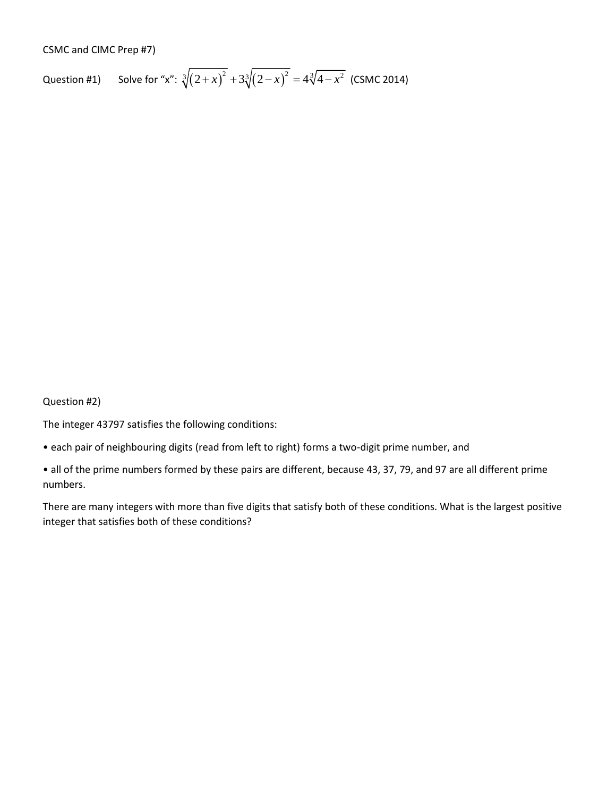## CSMC and CIMC Prep #7)

Question #1) Solve for "x":  $\sqrt[3]{(2+x)^2} + 3\sqrt[3]{(2-x)^2} = 4\sqrt[3]{4-x^2}$  (CSMC 2014)

Question #2)

The integer 43797 satisfies the following conditions:

- each pair of neighbouring digits (read from left to right) forms a two-digit prime number, and
- all of the prime numbers formed by these pairs are different, because 43, 37, 79, and 97 are all different prime numbers.

There are many integers with more than five digits that satisfy both of these conditions. What is the largest positive integer that satisfies both of these conditions?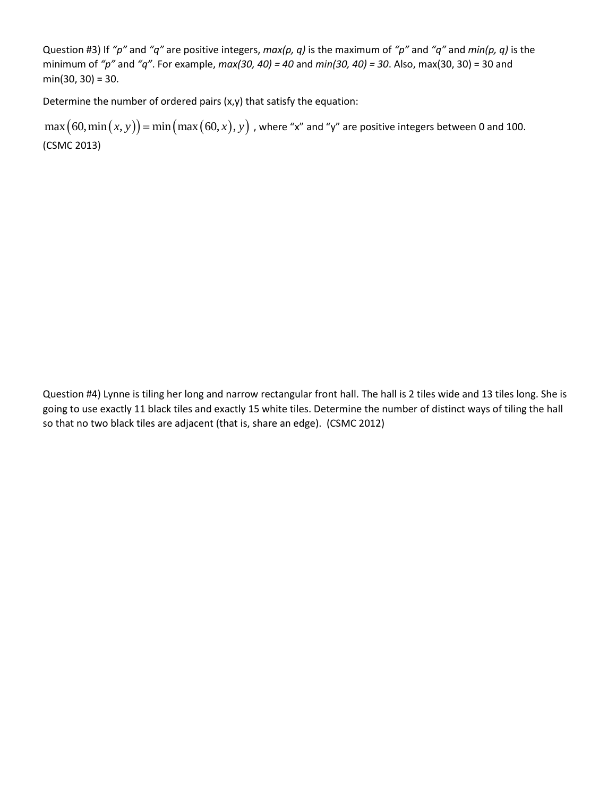Question #3) If *"p"* and *"q"* are positive integers, *max(p, q)* is the maximum of *"p"* and *"q"* and *min(p, q)* is the minimum of *"p"* and *"q"*. For example, *max(30, 40) = 40* and *min(30, 40) = 30*. Also, max(30, 30) = 30 and  $min(30, 30) = 30.$ 

Determine the number of ordered pairs (x,y) that satisfy the equation:

Determine the number of ordered pairs (x,y) that satisfy the equation.<br>  $\max (60, \min(x, y)) = \min(\max(60, x), y)$  , where "x" and "y" are positive integers between 0 and 100. (CSMC 2013)

Question #4) Lynne is tiling her long and narrow rectangular front hall. The hall is 2 tiles wide and 13 tiles long. She is going to use exactly 11 black tiles and exactly 15 white tiles. Determine the number of distinct ways of tiling the hall so that no two black tiles are adjacent (that is, share an edge). (CSMC 2012)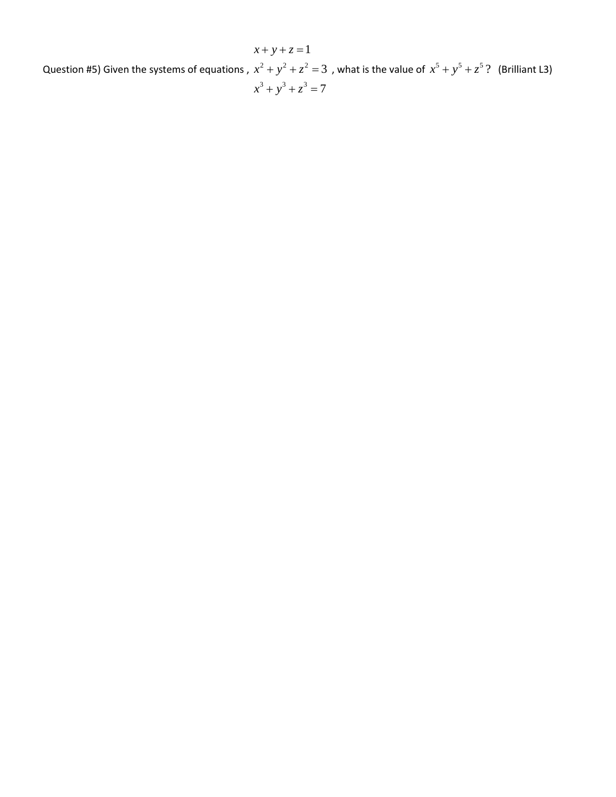Question #5) Given the systems of equations ,  $x^2 + y^2 + z^2 = 3$  , what is the value of  $x^5 + y^5 + z^5$ ? (Brilliant L3)  $x^3 + y^3 + z^3 = 7$  $x + y + z = 1$